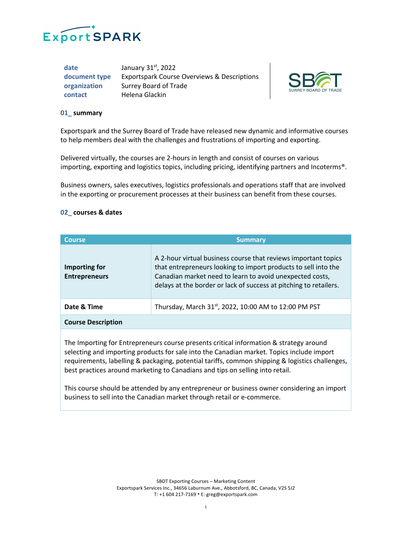

date January 31<sup>st</sup>, 2022 **document type** Exportspark Course Overviews & Descriptions **organization** Surrey Board of Trade **contact** Helena Glackin



## **01\_ summary**

Exportspark and the Surrey Board of Trade have released new dynamic and informative courses to help members deal with the challenges and frustrations of importing and exporting.

Delivered virtually, the courses are 2-hours in length and consist of courses on various importing, exporting and logistics topics, including pricing, identifying partners and Incoterms®.

Business owners, sales executives, logistics professionals and operations staff that are involved in the exporting or procurement processes at their business can benefit from these courses.

## **02\_ courses & dates**

| <b>Course</b>                         | <b>Summary</b>                                                                                                                                                                                                                                                    |
|---------------------------------------|-------------------------------------------------------------------------------------------------------------------------------------------------------------------------------------------------------------------------------------------------------------------|
| Importing for<br><b>Entrepreneurs</b> | A 2-hour virtual business course that reviews important topics<br>that entrepreneurs looking to import products to sell into the<br>Canadian market need to learn to avoid unexpected costs,<br>delays at the border or lack of success at pitching to retailers. |
| Date & Time                           | Thursday, March 31 <sup>st</sup> , 2022, 10:00 AM to 12:00 PM PST                                                                                                                                                                                                 |
| <b>Course Description</b>             |                                                                                                                                                                                                                                                                   |

The Importing for Entrepreneurs course presents critical information & strategy around selecting and importing products for sale into the Canadian market. Topics include import requirements, labelling & packaging, potential tariffs, common shipping & logistics challenges, best practices around marketing to Canadians and tips on selling into retail.

This course should be attended by any entrepreneur or business owner considering an import business to sell into the Canadian market through retail or e-commerce.

> SBOT Exporting Courses – Marketing Content Exportspark Services Inc., 34656 Laburnum Ave., Abbotsford, BC, Canada, V2S 5J2 T: +1 604 217-7169 • E: greg@exportspark.com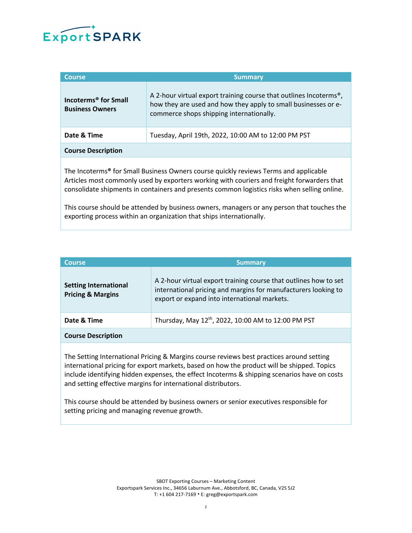

| <b>Summary</b>                                                                                                                                                                               |
|----------------------------------------------------------------------------------------------------------------------------------------------------------------------------------------------|
| A 2-hour virtual export training course that outlines Incoterms <sup>®</sup> ,<br>how they are used and how they apply to small businesses or e-<br>commerce shops shipping internationally. |
| Tuesday, April 19th, 2022, 10:00 AM to 12:00 PM PST                                                                                                                                          |
|                                                                                                                                                                                              |
|                                                                                                                                                                                              |

The Incoterms**®** for Small Business Owners course quickly reviews Terms and applicable Articles most commonly used by exporters working with couriers and freight forwarders that consolidate shipments in containers and presents common logistics risks when selling online.

This course should be attended by business owners, managers or any person that touches the exporting process within an organization that ships internationally.

| <b>Course</b>                                                | <b>Summary</b>                                                                                                                                                                     |
|--------------------------------------------------------------|------------------------------------------------------------------------------------------------------------------------------------------------------------------------------------|
| <b>Setting International</b><br><b>Pricing &amp; Margins</b> | A 2-hour virtual export training course that outlines how to set<br>international pricing and margins for manufacturers looking to<br>export or expand into international markets. |
| Date & Time                                                  | Thursday, May 12 <sup>th</sup> , 2022, 10:00 AM to 12:00 PM PST                                                                                                                    |
| <b>Course Description</b>                                    |                                                                                                                                                                                    |
|                                                              |                                                                                                                                                                                    |

The Setting International Pricing & Margins course reviews best practices around setting international pricing for export markets, based on how the product will be shipped. Topics include identifying hidden expenses, the effect Incoterms & shipping scenarios have on costs and setting effective margins for international distributors.

This course should be attended by business owners or senior executives responsible for setting pricing and managing revenue growth.

> SBOT Exporting Courses – Marketing Content Exportspark Services Inc., 34656 Laburnum Ave., Abbotsford, BC, Canada, V2S 5J2 T: +1 604 217-7169 • E: greg@exportspark.com